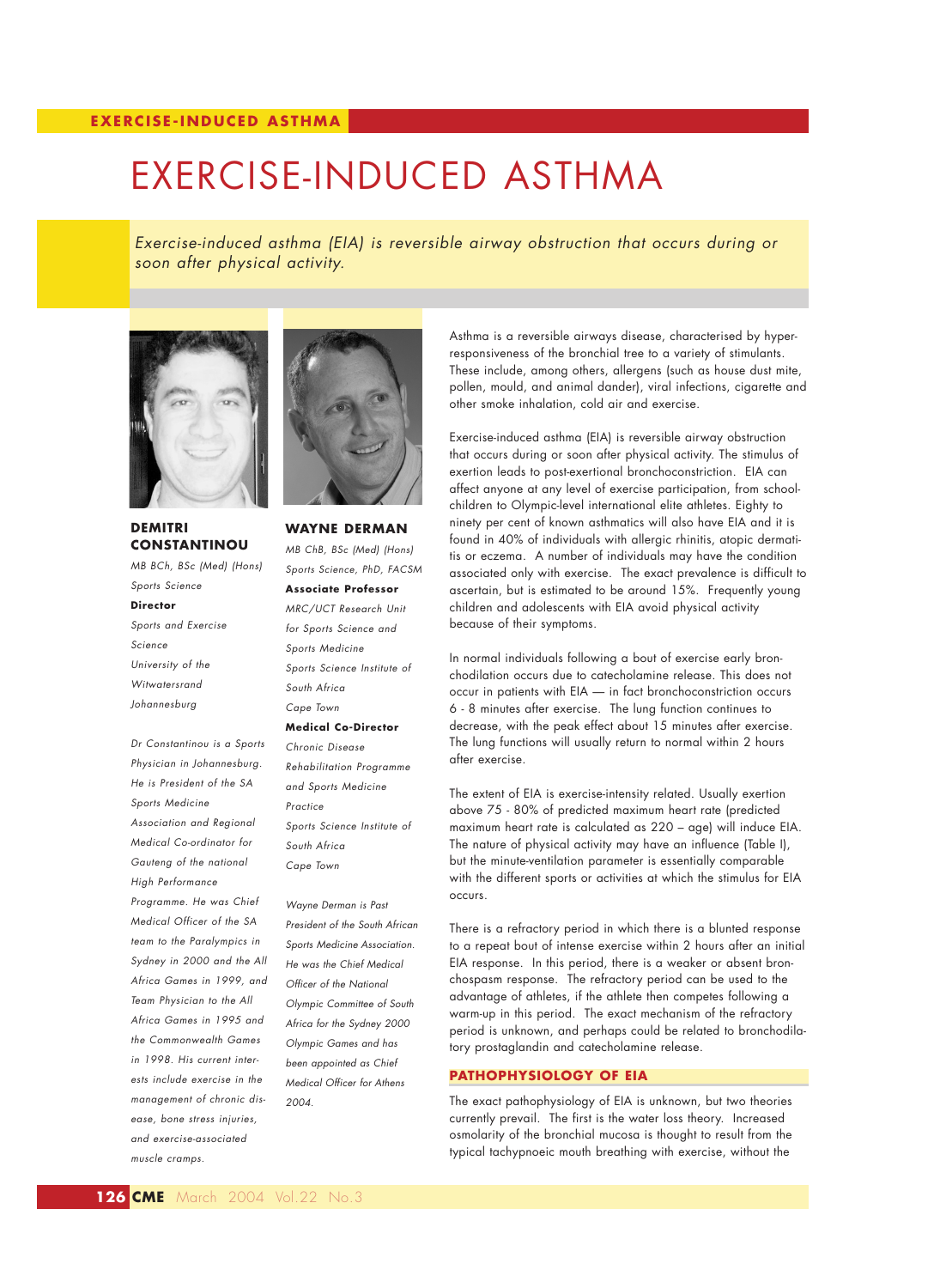# EXERCISE-INDUCED ASTHMA

*Exercise-induced asthma (EIA) is reversible airway obstruction that occurs during or soon after physical activity.*



# **DEMITRI CONSTANTINOU**

*MB BCh, BSc (Med) (Hons) Sports Science* **Director** *Sports and Exercise Science University of the Witwatersrand Johannesburg Dr Constantinou is a Sports*

*Physician in Johannesburg. He is President of the SA Sports Medicine Association and Regional Medical Co-ordinator for Gauteng of the national High Performance Programme. He was Chief Medical Officer of the SA team to the Paralympics in Sydney in 2000 and the All Africa Games in 1999, and Team Physician to the All Africa Games in 1995 and the Commonwealth Games in 1998. His current interests include exercise in the management of chronic disease, bone stress injuries, and exercise-associated muscle cramps.*



**WAYNE DERMAN** *MB ChB, BSc (Med) (Hons) Sports Science, PhD, FACSM* **Associate Professor** *MRC/UCT Research Unit for Sports Science and Sports Medicine Sports Science Institute of South Africa Cape Town*  **Medical Co-Director** *Chronic Disease Rehabilitation Programme*

*and Sports Medicine Practice Sports Science Institute of South Africa Cape Town*

*Wayne Derman is Past President of the South African Sports Medicine Association. He was the Chief Medical Officer of the National Olympic Committee of South Africa for the Sydney 2000 Olympic Games and has been appointed as Chief Medical Officer for Athens 2004.* 

Asthma is a reversible airways disease, characterised by hyperresponsiveness of the bronchial tree to a variety of stimulants. These include, among others, allergens (such as house dust mite, pollen, mould, and animal dander), viral infections, cigarette and other smoke inhalation, cold air and exercise.

Exercise-induced asthma (EIA) is reversible airway obstruction that occurs during or soon after physical activity. The stimulus of exertion leads to post-exertional bronchoconstriction. EIA can affect anyone at any level of exercise participation, from schoolchildren to Olympic-level international elite athletes. Eighty to ninety per cent of known asthmatics will also have EIA and it is found in 40% of individuals with allergic rhinitis, atopic dermatitis or eczema. A number of individuals may have the condition associated only with exercise. The exact prevalence is difficult to ascertain, but is estimated to be around 15%. Frequently young children and adolescents with EIA avoid physical activity because of their symptoms.

In normal individuals following a bout of exercise early bronchodilation occurs due to catecholamine release. This does not occur in patients with EIA — in fact bronchoconstriction occurs 6 - 8 minutes after exercise. The lung function continues to decrease, with the peak effect about 15 minutes after exercise. The lung functions will usually return to normal within 2 hours after exercise.

The extent of EIA is exercise-intensity related. Usually exertion above 75 - 80% of predicted maximum heart rate (predicted maximum heart rate is calculated as 220 – age) will induce EIA. The nature of physical activity may have an influence (Table I), but the minute-ventilation parameter is essentially comparable with the different sports or activities at which the stimulus for EIA occurs.

There is a refractory period in which there is a blunted response to a repeat bout of intense exercise within 2 hours after an initial EIA response. In this period, there is a weaker or absent bronchospasm response. The refractory period can be used to the advantage of athletes, if the athlete then competes following a warm-up in this period. The exact mechanism of the refractory period is unknown, and perhaps could be related to bronchodilatory prostaglandin and catecholamine release.

#### **PATHOPHYSIOLOGY OF EIA**

The exact pathophysiology of EIA is unknown, but two theories currently prevail. The first is the water loss theory. Increased osmolarity of the bronchial mucosa is thought to result from the typical tachypnoeic mouth breathing with exercise, without the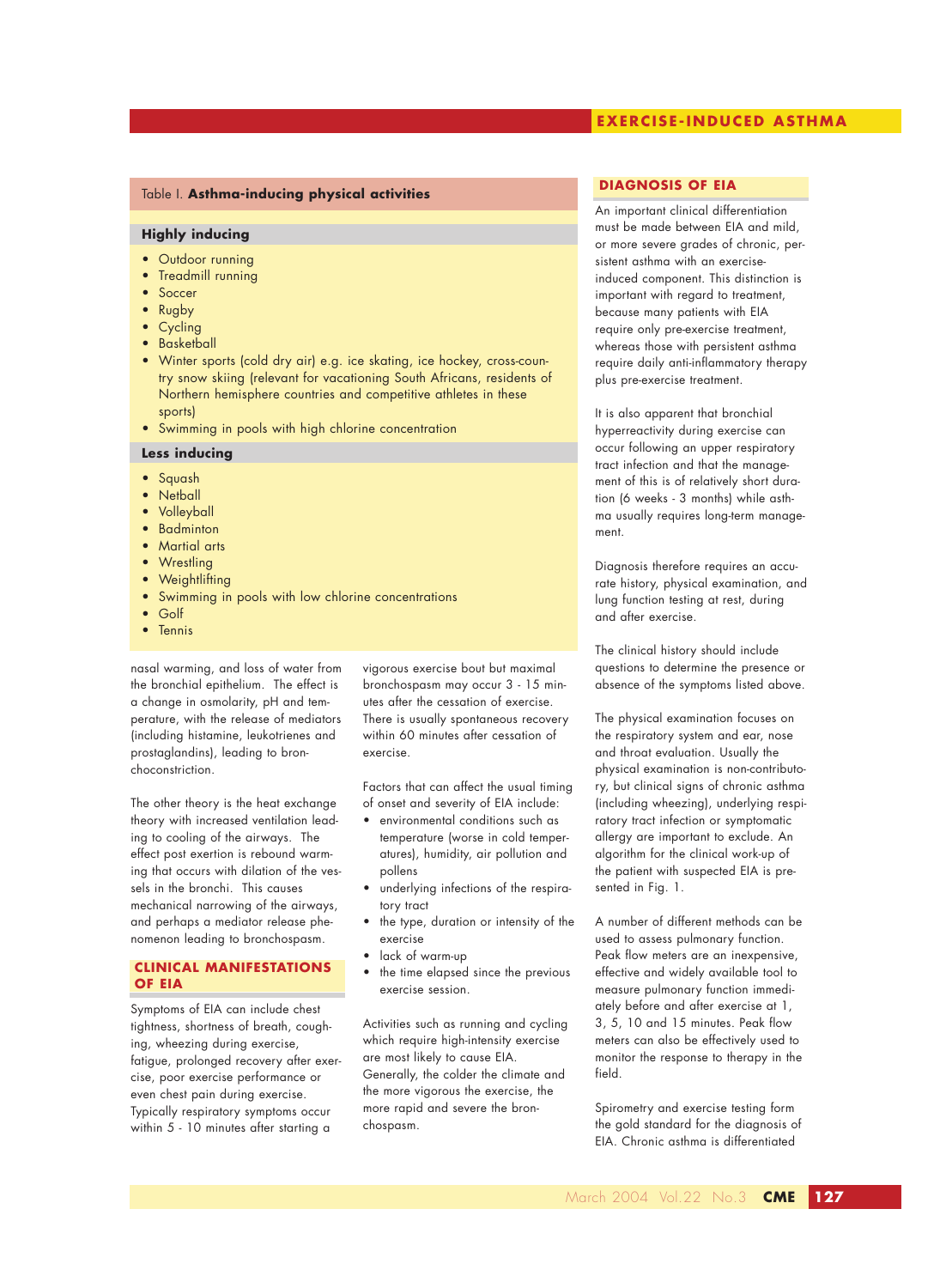## **EXERCISE-INDUCED ASTHMA**

#### Table I. **Asthma-inducing physical activities**

#### **Highly inducing**

- Outdoor running
- Treadmill running
- **Soccer**
- Rugby
- Cycling
- **Basketball**
- Winter sports (cold dry air) e.g. ice skating, ice hockey, cross-country snow skiing (relevant for vacationing South Africans, residents of Northern hemisphere countries and competitive athletes in these sports)
- Swimming in pools with high chlorine concentration

#### **Less inducing**

- Squash
- Netball
- Volleyball
- Badminton
- Martial arts
- Wrestling
- **Weightlifting**
- Swimming in pools with low chlorine concentrations
- Golf
- Tennis

nasal warming, and loss of water from the bronchial epithelium. The effect is a change in osmolarity, pH and temperature, with the release of mediators (including histamine, leukotrienes and prostaglandins), leading to bronchoconstriction.

The other theory is the heat exchange theory with increased ventilation leading to cooling of the airways. The effect post exertion is rebound warming that occurs with dilation of the vessels in the bronchi. This causes mechanical narrowing of the airways, and perhaps a mediator release phenomenon leading to bronchospasm.

## **CLINICAL MANIFESTATIONS OF EIA**

Symptoms of EIA can include chest tightness, shortness of breath, coughing, wheezing during exercise, fatigue, prolonged recovery after exercise, poor exercise performance or even chest pain during exercise. Typically respiratory symptoms occur within 5 - 10 minutes after starting a

vigorous exercise bout but maximal bronchospasm may occur 3 - 15 minutes after the cessation of exercise. There is usually spontaneous recovery within 60 minutes after cessation of exercise.

Factors that can affect the usual timing of onset and severity of EIA include:

- environmental conditions such as temperature (worse in cold temperatures), humidity, air pollution and pollens
- underlying infections of the respiratory tract
- the type, duration or intensity of the exercise
- lack of warm-up
- the time elapsed since the previous exercise session.

Activities such as running and cycling which require high-intensity exercise are most likely to cause EIA. Generally, the colder the climate and the more vigorous the exercise, the more rapid and severe the bronchospasm.

#### **DIAGNOSIS OF EIA**

An important clinical differentiation must be made between EIA and mild, or more severe grades of chronic, persistent asthma with an exerciseinduced component. This distinction is important with regard to treatment, because many patients with EIA require only pre-exercise treatment, whereas those with persistent asthma require daily anti-inflammatory therapy plus pre-exercise treatment.

It is also apparent that bronchial hyperreactivity during exercise can occur following an upper respiratory tract infection and that the management of this is of relatively short duration (6 weeks - 3 months) while asthma usually requires long-term management.

Diagnosis therefore requires an accurate history, physical examination, and lung function testing at rest, during and after exercise.

The clinical history should include questions to determine the presence or absence of the symptoms listed above.

The physical examination focuses on the respiratory system and ear, nose and throat evaluation. Usually the physical examination is non-contributory, but clinical signs of chronic asthma (including wheezing), underlying respiratory tract infection or symptomatic allergy are important to exclude. An algorithm for the clinical work-up of the patient with suspected EIA is presented in Fig. 1.

A number of different methods can be used to assess pulmonary function. Peak flow meters are an inexpensive, effective and widely available tool to measure pulmonary function immediately before and after exercise at 1, 3, 5, 10 and 15 minutes. Peak flow meters can also be effectively used to monitor the response to therapy in the field.

Spirometry and exercise testing form the gold standard for the diagnosis of EIA. Chronic asthma is differentiated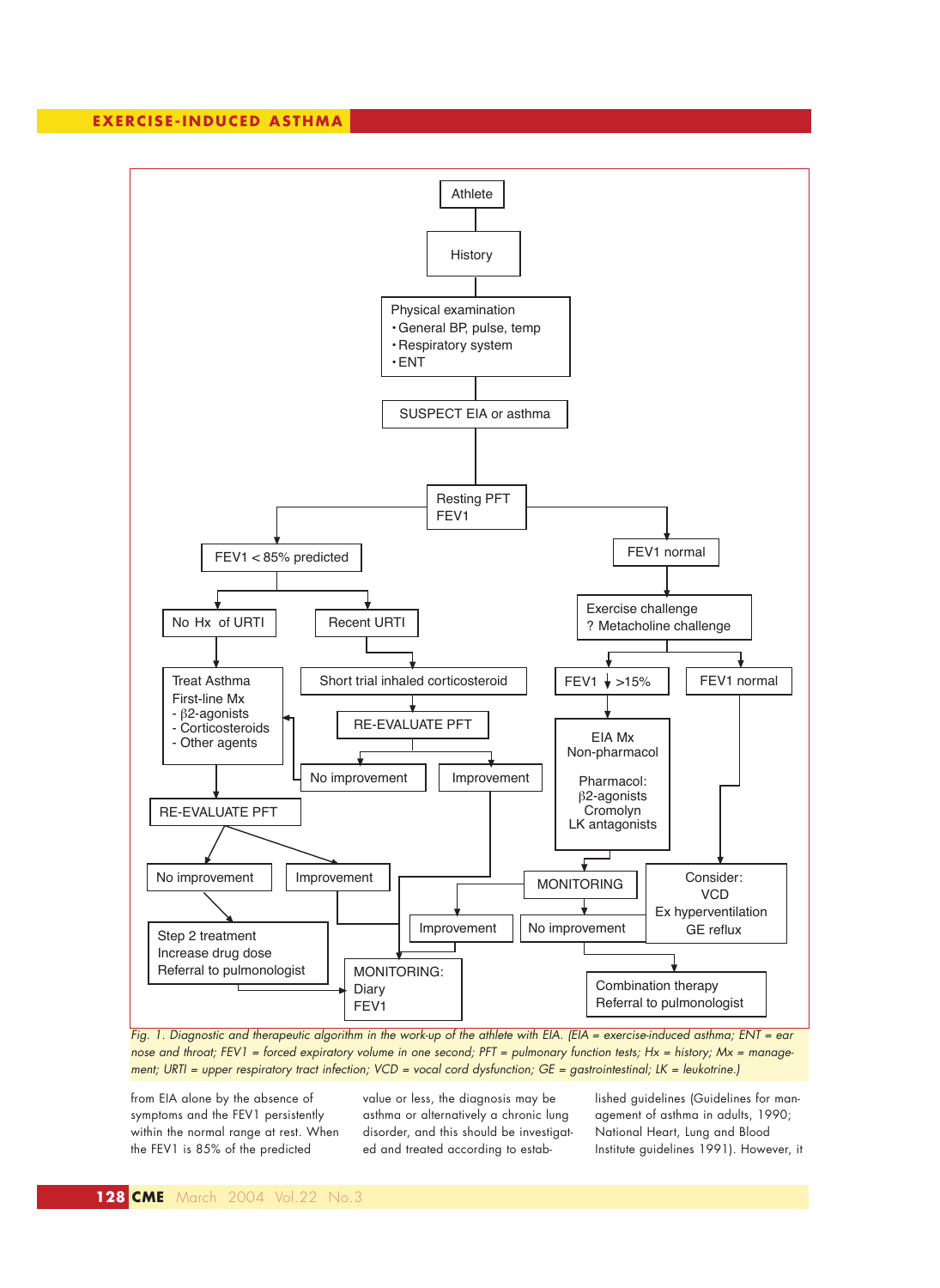

*Fig. 1. Diagnostic and therapeutic algorithm in the work-up of the athlete with EIA. (EIA = exercise-induced asthma; ENT = ear nose and throat; FEV1 = forced expiratory volume in one second; PFT = pulmonary function tests; Hx = history; Mx = management; URTI = upper respiratory tract infection; VCD = vocal cord dysfunction; GE = gastrointestinal; LK = leukotrine.)* 

from EIA alone by the absence of symptoms and the FEV1 persistently within the normal range at rest. When the FEV1 is 85% of the predicted

value or less, the diagnosis may be asthma or alternatively a chronic lung disorder, and this should be investigated and treated according to established guidelines (Guidelines for management of asthma in adults, 1990; National Heart, Lung and Blood Institute guidelines 1991). However, it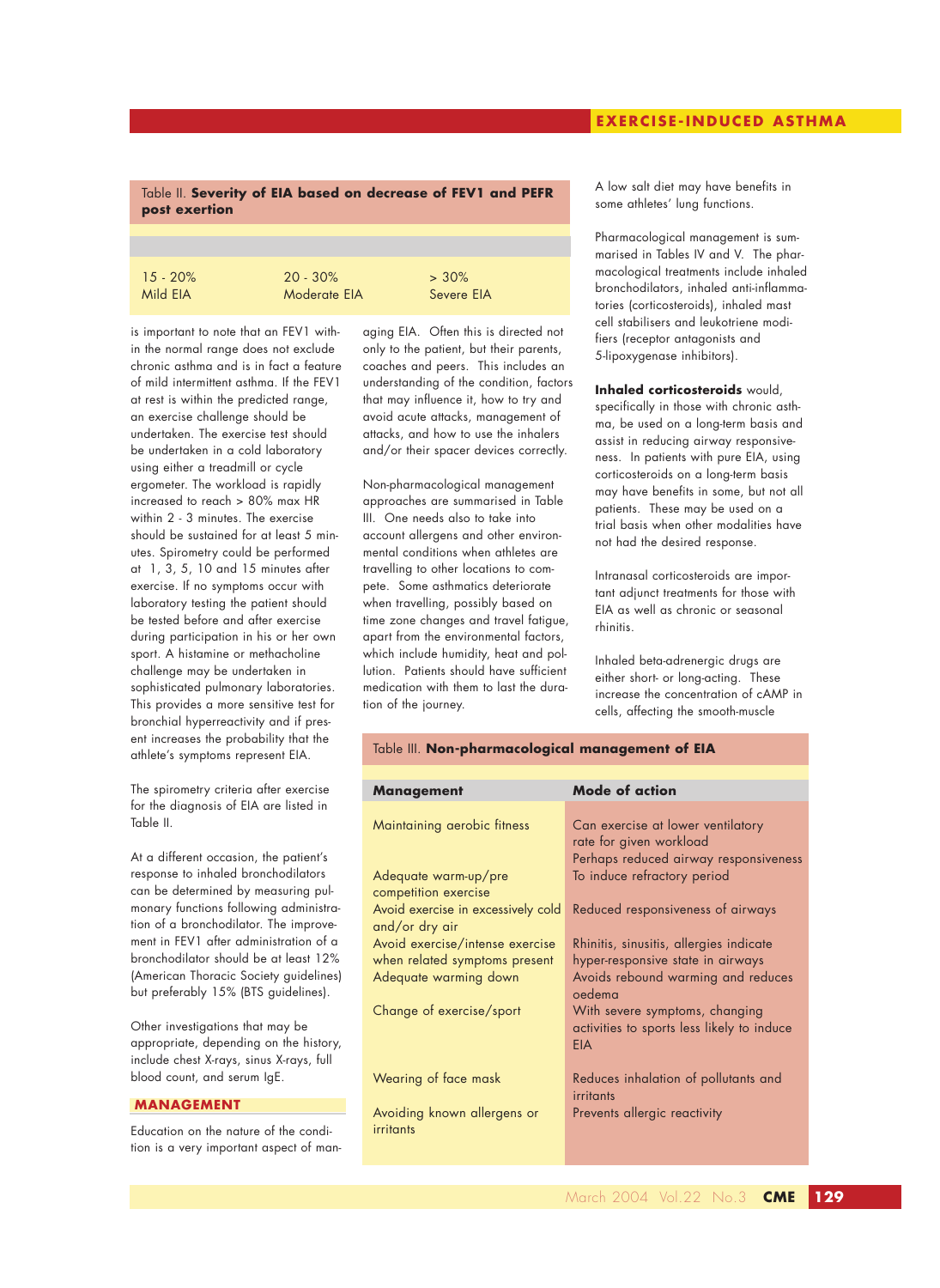## **EXERCISE-INDUCED ASTHMA**

### Table II. **Severity of EIA based on decrease of FEV1 and PEFR post exertion**

| $15 - 20%$ | $20 - 30\%$  | $> 30\%$   |
|------------|--------------|------------|
| Mild EIA   | Moderate EIA | Severe EIA |

is important to note that an FEV1 within the normal range does not exclude chronic asthma and is in fact a feature of mild intermittent asthma. If the FEV1 at rest is within the predicted range, an exercise challenge should be undertaken. The exercise test should be undertaken in a cold laboratory using either a treadmill or cycle ergometer. The workload is rapidly increased to reach > 80% max HR within 2 - 3 minutes. The exercise should be sustained for at least 5 minutes. Spirometry could be performed at 1, 3, 5, 10 and 15 minutes after exercise. If no symptoms occur with laboratory testing the patient should be tested before and after exercise during participation in his or her own sport. A histamine or methacholine challenge may be undertaken in sophisticated pulmonary laboratories. This provides a more sensitive test for bronchial hyperreactivity and if present increases the probability that the athlete's symptoms represent EIA.

The spirometry criteria after exercise for the diagnosis of EIA are listed in Table II.

At a different occasion, the patient's response to inhaled bronchodilators can be determined by measuring pulmonary functions following administration of a bronchodilator. The improvement in FEV1 after administration of a bronchodilator should be at least 12% (American Thoracic Society guidelines) but preferably 15% (BTS guidelines).

Other investigations that may be appropriate, depending on the history, include chest X-rays, sinus X-rays, full blood count, and serum IgE.

#### **MANAGEMENT**

Education on the nature of the condition is a very important aspect of managing EIA. Often this is directed not only to the patient, but their parents, coaches and peers. This includes an understanding of the condition, factors that may influence it, how to try and avoid acute attacks, management of attacks, and how to use the inhalers and/or their spacer devices correctly.

Non-pharmacological management approaches are summarised in Table III. One needs also to take into account allergens and other environmental conditions when athletes are travelling to other locations to compete. Some asthmatics deteriorate when travelling, possibly based on time zone changes and travel fatigue, apart from the environmental factors, which include humidity, heat and pollution. Patients should have sufficient medication with them to last the duration of the journey.

A low salt diet may have benefits in some athletes' lung functions.

Pharmacological management is summarised in Tables IV and V. The pharmacological treatments include inhaled bronchodilators, inhaled anti-inflammatories (corticosteroids), inhaled mast cell stabilisers and leukotriene modifiers (receptor antagonists and 5-lipoxygenase inhibitors).

**Inhaled corticosteroids** would, specifically in those with chronic asthma, be used on a long-term basis and assist in reducing airway responsiveness. In patients with pure EIA, using corticosteroids on a long-term basis may have benefits in some, but not all patients. These may be used on a trial basis when other modalities have not had the desired response.

Intranasal corticosteroids are important adjunct treatments for those with EIA as well as chronic or seasonal rhinitis.

Inhaled beta-adrenergic drugs are either short- or long-acting. These increase the concentration of cAMP in cells, affecting the smooth-muscle

#### Table III. **Non-pharmacological management of EIA**

| <b>Management</b>                                    | <b>Mode of action</b>                                                                                 |
|------------------------------------------------------|-------------------------------------------------------------------------------------------------------|
| Maintaining aerobic fitness                          | Can exercise at lower ventilatory<br>rate for given workload<br>Perhaps reduced airway responsiveness |
| Adequate warm-up/pre<br>competition exercise         | To induce refractory period                                                                           |
| Avoid exercise in excessively cold<br>and/or dry air | Reduced responsiveness of airways                                                                     |
| Avoid exercise/intense exercise                      | Rhinitis, sinusitis, allergies indicate                                                               |
| when related symptoms present                        | hyper-responsive state in airways                                                                     |
| Adequate warming down                                | Avoids rebound warming and reduces<br>oedema                                                          |
| Change of exercise/sport                             | With severe symptoms, changing<br>activities to sports less likely to induce<br><b>EIA</b>            |
| Wearing of face mask                                 | Reduces inhalation of pollutants and<br>irritants                                                     |
| Avoiding known allergens or<br>irritants             | Prevents allergic reactivity                                                                          |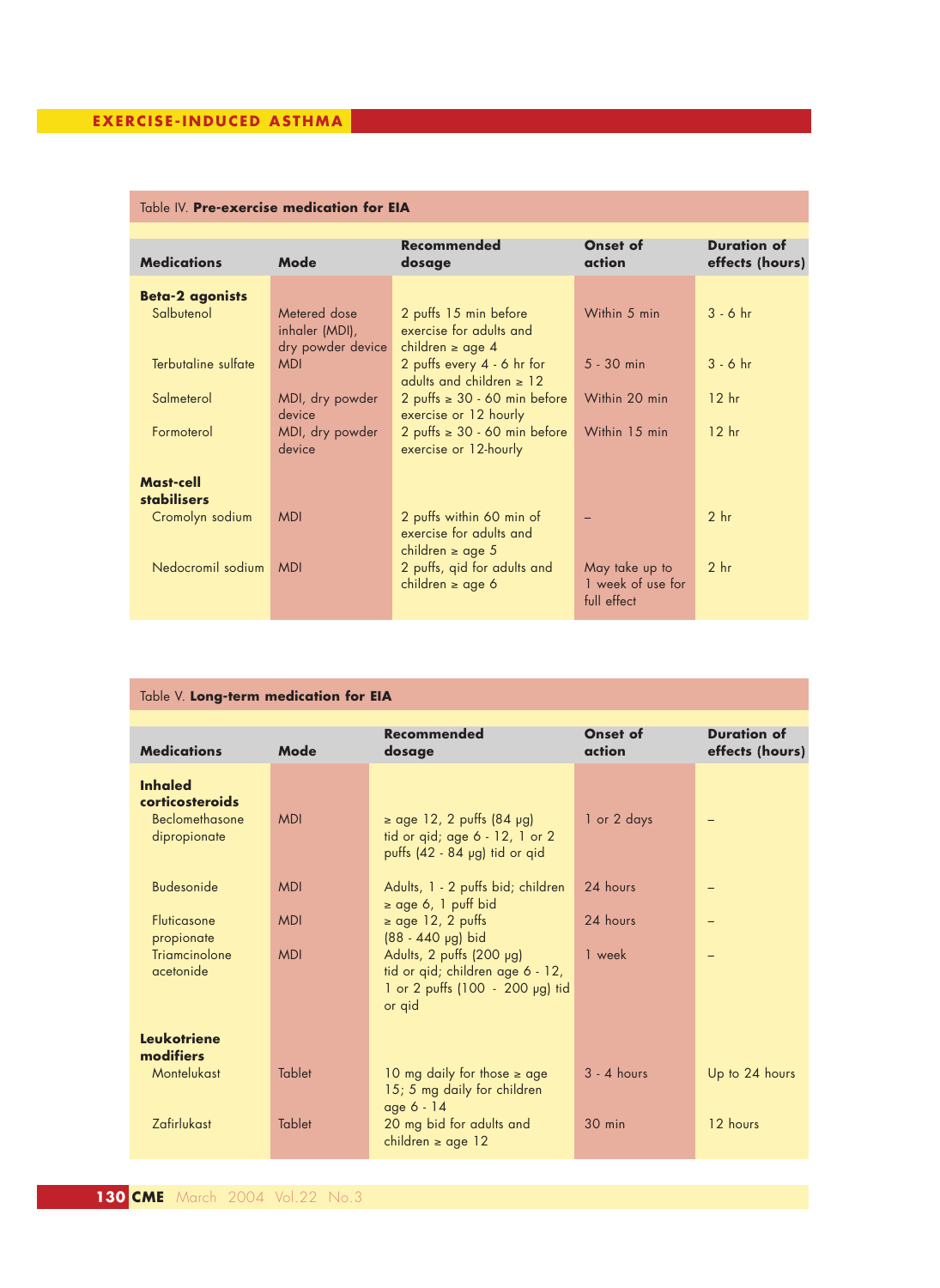# Table IV. **Pre-exercise medication for EIA**

| <b>Medications</b>     | Mode              | <b>Recommended</b>                | Onset of<br>action | <b>Duration of</b><br>effects (hours) |
|------------------------|-------------------|-----------------------------------|--------------------|---------------------------------------|
|                        |                   | dosage                            |                    |                                       |
|                        |                   |                                   |                    |                                       |
| <b>Beta-2 agonists</b> |                   |                                   |                    |                                       |
| Salbutenol             | Metered dose      | 2 puffs 15 min before             | Within 5 min       | $3 - 6$ hr                            |
|                        | inhaler (MDI),    | exercise for adults and           |                    |                                       |
|                        | dry powder device | children $\ge$ age 4              |                    |                                       |
| Terbutaline sulfate    | <b>MDI</b>        | 2 puffs every 4 - 6 hr for        | $5 - 30$ min       | $3 - 6$ hr                            |
|                        |                   | adults and children $\geq 12$     |                    |                                       |
| Salmeterol             |                   | 2 puffs $\geq 30 - 60$ min before | Within 20 min      | 12 <sub>hr</sub>                      |
|                        | MDI, dry powder   |                                   |                    |                                       |
|                        | device            | exercise or 12 hourly             |                    |                                       |
| Formoterol             | MDI, dry powder   | 2 puffs $\geq 30 - 60$ min before | Within 15 min      | 12 <sub>hr</sub>                      |
|                        | device            | exercise or 12-hourly             |                    |                                       |
|                        |                   |                                   |                    |                                       |
| <b>Mast-cell</b>       |                   |                                   |                    |                                       |
| <b>stabilisers</b>     |                   |                                   |                    |                                       |
| Cromolyn sodium        | <b>MDI</b>        | 2 puffs within 60 min of          |                    | 2 <sub>hr</sub>                       |
|                        |                   | exercise for adults and           |                    |                                       |
|                        |                   |                                   |                    |                                       |
|                        |                   | children $\ge$ age 5              |                    |                                       |
| Nedocromil sodium      | <b>MDI</b>        | 2 puffs, gid for adults and       | May take up to     | 2 <sub>hr</sub>                       |
|                        |                   | children $\geq$ age 6             | 1 week of use for  |                                       |
|                        |                   |                                   | full effect        |                                       |
|                        |                   |                                   |                    |                                       |

| Table V. Long-term medication for EIA                                               |                                        |                                                                                                                                                                                                                         |                                |                                       |  |  |  |
|-------------------------------------------------------------------------------------|----------------------------------------|-------------------------------------------------------------------------------------------------------------------------------------------------------------------------------------------------------------------------|--------------------------------|---------------------------------------|--|--|--|
| <b>Medications</b>                                                                  | Mode                                   | Recommended<br>dosage                                                                                                                                                                                                   | Onset of<br>action             | <b>Duration of</b><br>effects (hours) |  |  |  |
| <b>Inhaled</b><br>corticosteroids<br>Beclomethasone<br>dipropionate                 | <b>MDI</b>                             | $\ge$ age 12, 2 puffs (84 µg)<br>tid or qid; age 6 - 12, 1 or 2<br>puffs (42 - 84 µg) tid or qid                                                                                                                        | 1 or 2 days                    |                                       |  |  |  |
| <b>Budesonide</b><br><b>Fluticasone</b><br>propionate<br>Triamcinolone<br>acetonide | <b>MDI</b><br><b>MDI</b><br><b>MDI</b> | Adults, 1 - 2 puffs bid; children<br>$\ge$ age 6, 1 puff bid<br>$\ge$ age 12, 2 puffs<br>(88 - 440 µg) bid<br>Adults, 2 puffs (200 µg)<br>tid or qid; children age 6 - 12,<br>1 or 2 puffs (100 - 200 µg) tid<br>or qid | 24 hours<br>24 hours<br>1 week |                                       |  |  |  |
| <b>Leukotriene</b><br>modifiers<br>Montelukast<br>Zafirlukast                       | <b>Tablet</b><br><b>Tablet</b>         | 10 mg daily for those $\geq$ age<br>15; 5 mg daily for children<br>age 6 - 14<br>20 mg bid for adults and                                                                                                               | $3 - 4$ hours<br>$30$ min      | Up to 24 hours<br>12 hours            |  |  |  |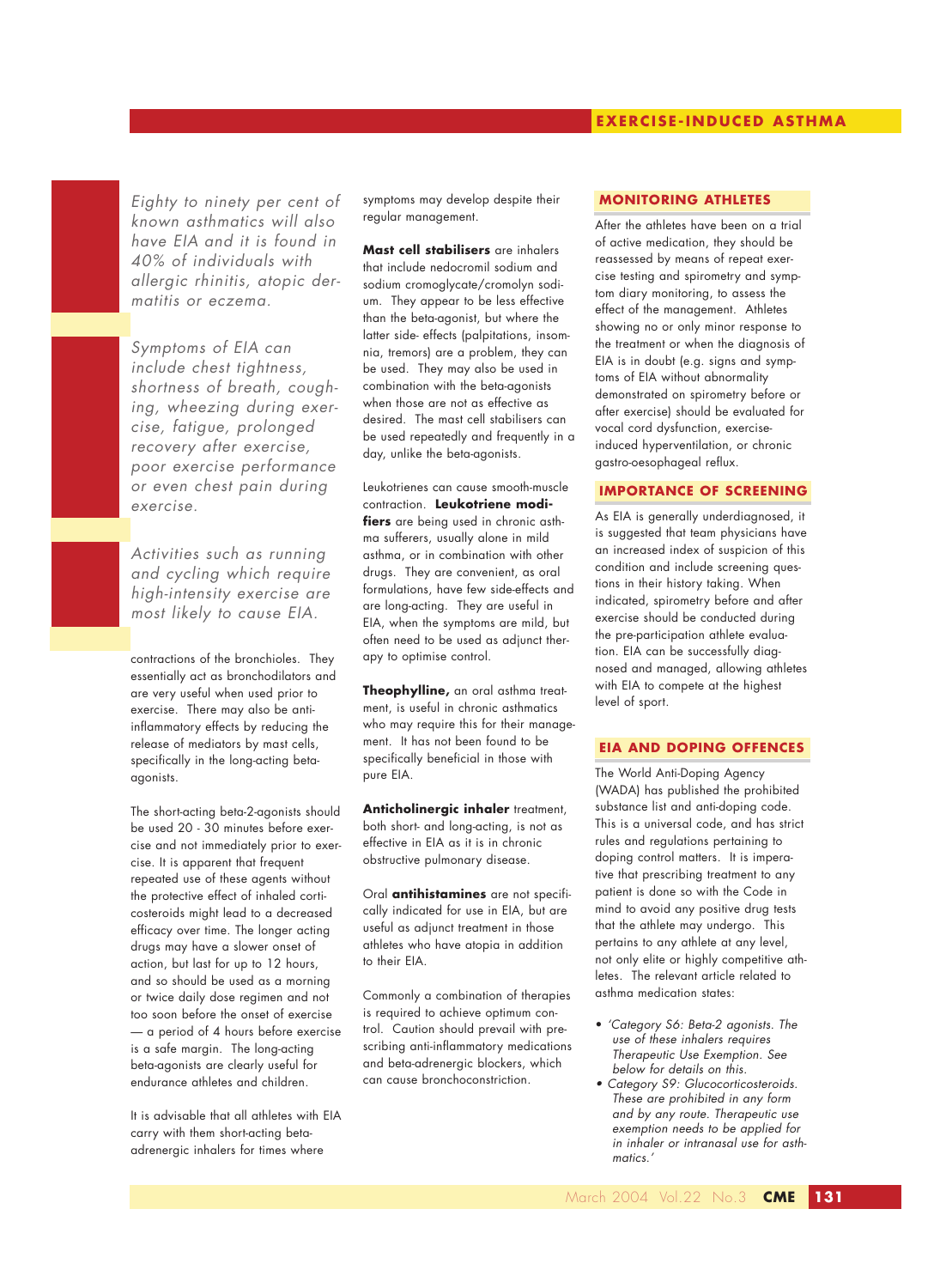*Eighty to ninety per cent of known asthmatics will also have EIA and it is found in 40% of individuals with allergic rhinitis, atopic dermatitis or eczema.*

*Symptoms of EIA can include chest tightness, shortness of breath, coughing, wheezing during exercise, fatigue, prolonged recovery after exercise, poor exercise performance or even chest pain during exercise.*

*Activities such as running and cycling which require high-intensity exercise are most likely to cause EIA.*

contractions of the bronchioles. They essentially act as bronchodilators and are very useful when used prior to exercise. There may also be antiinflammatory effects by reducing the release of mediators by mast cells, specifically in the long-acting betaagonists.

The short-acting beta-2-agonists should be used 20 - 30 minutes before exercise and not immediately prior to exercise. It is apparent that frequent repeated use of these agents without the protective effect of inhaled corticosteroids might lead to a decreased efficacy over time. The longer acting drugs may have a slower onset of action, but last for up to 12 hours, and so should be used as a morning or twice daily dose regimen and not too soon before the onset of exercise — a period of 4 hours before exercise is a safe margin. The long-acting beta-agonists are clearly useful for endurance athletes and children.

It is advisable that all athletes with EIA carry with them short-acting betaadrenergic inhalers for times where

symptoms may develop despite their regular management.

**Mast cell stabilisers** are inhalers that include nedocromil sodium and sodium cromoglycate/cromolyn sodium. They appear to be less effective than the beta-agonist, but where the latter side- effects (palpitations, insomnia, tremors) are a problem, they can be used. They may also be used in combination with the beta-agonists when those are not as effective as desired. The mast cell stabilisers can be used repeatedly and frequently in a day, unlike the beta-agonists.

Leukotrienes can cause smooth-muscle contraction. **Leukotriene modifiers** are being used in chronic asthma sufferers, usually alone in mild asthma, or in combination with other drugs. They are convenient, as oral formulations, have few side-effects and are long-acting. They are useful in EIA, when the symptoms are mild, but often need to be used as adjunct therapy to optimise control.

**Theophylline,** an oral asthma treatment, is useful in chronic asthmatics who may require this for their management. It has not been found to be specifically beneficial in those with pure EIA.

**Anticholinergic inhaler** treatment, both short- and long-acting, is not as effective in EIA as it is in chronic obstructive pulmonary disease.

Oral **antihistamines** are not specifically indicated for use in EIA, but are useful as adjunct treatment in those athletes who have atopia in addition to their EIA.

Commonly a combination of therapies is required to achieve optimum control. Caution should prevail with prescribing anti-inflammatory medications and beta-adrenergic blockers, which can cause bronchoconstriction.

#### **MONITORING ATHLETES**

After the athletes have been on a trial of active medication, they should be reassessed by means of repeat exercise testing and spirometry and symptom diary monitoring, to assess the effect of the management. Athletes showing no or only minor response to the treatment or when the diagnosis of EIA is in doubt (e.g. signs and symptoms of EIA without abnormality demonstrated on spirometry before or after exercise) should be evaluated for vocal cord dysfunction, exerciseinduced hyperventilation, or chronic gastro-oesophageal reflux.

## **IMPORTANCE OF SCREENING**

As EIA is generally underdiagnosed, it is suggested that team physicians have an increased index of suspicion of this condition and include screening questions in their history taking. When indicated, spirometry before and after exercise should be conducted during the pre-participation athlete evaluation. EIA can be successfully diagnosed and managed, allowing athletes with EIA to compete at the highest level of sport.

## **EIA AND DOPING OFFENCES**

The World Anti-Doping Agency (WADA) has published the prohibited substance list and anti-doping code. This is a universal code, and has strict rules and regulations pertaining to doping control matters. It is imperative that prescribing treatment to any patient is done so with the Code in mind to avoid any positive drug tests that the athlete may undergo. This pertains to any athlete at any level, not only elite or highly competitive athletes. The relevant article related to asthma medication states:

- *'Category S6: Beta-2 agonists. The use of these inhalers requires Therapeutic Use Exemption. See below for details on this.*
- *• Category S9: Glucocorticosteroids. These are prohibited in any form and by any route. Therapeutic use exemption needs to be applied for in inhaler or intranasal use for asthmatics.'*